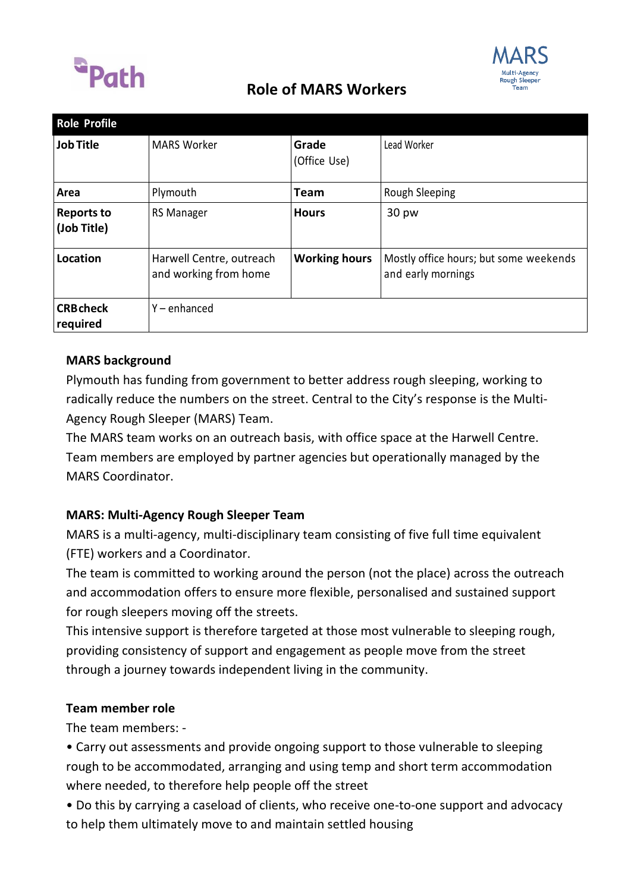

## **Role of MARS Workers**



| <b>Role Profile</b>              |                                                   |                       |                                                              |
|----------------------------------|---------------------------------------------------|-----------------------|--------------------------------------------------------------|
| <b>Job Title</b>                 | <b>MARS Worker</b>                                | Grade<br>(Office Use) | Lead Worker                                                  |
| Area                             | Plymouth                                          | <b>Team</b>           | Rough Sleeping                                               |
| <b>Reports to</b><br>(Job Title) | <b>RS Manager</b>                                 | <b>Hours</b>          | 30 pw                                                        |
| Location                         | Harwell Centre, outreach<br>and working from home | <b>Working hours</b>  | Mostly office hours; but some weekends<br>and early mornings |
| <b>CRB</b> check<br>required     | $Y$ – enhanced                                    |                       |                                                              |

### **MARS background**

Plymouth has funding from government to better address rough sleeping, working to radically reduce the numbers on the street. Central to the City's response is the Multi-Agency Rough Sleeper (MARS) Team.

The MARS team works on an outreach basis, with office space at the Harwell Centre. Team members are employed by partner agencies but operationally managed by the MARS Coordinator.

### **MARS: Multi-Agency Rough Sleeper Team**

MARS is a multi-agency, multi-disciplinary team consisting of five full time equivalent (FTE) workers and a Coordinator.

The team is committed to working around the person (not the place) across the outreach and accommodation offers to ensure more flexible, personalised and sustained support for rough sleepers moving off the streets.

This intensive support is therefore targeted at those most vulnerable to sleeping rough, providing consistency of support and engagement as people move from the street through a journey towards independent living in the community.

### **Team member role**

The team members: -

• Carry out assessments and provide ongoing support to those vulnerable to sleeping rough to be accommodated, arranging and using temp and short term accommodation where needed, to therefore help people off the street

• Do this by carrying a caseload of clients, who receive one-to-one support and advocacy to help them ultimately move to and maintain settled housing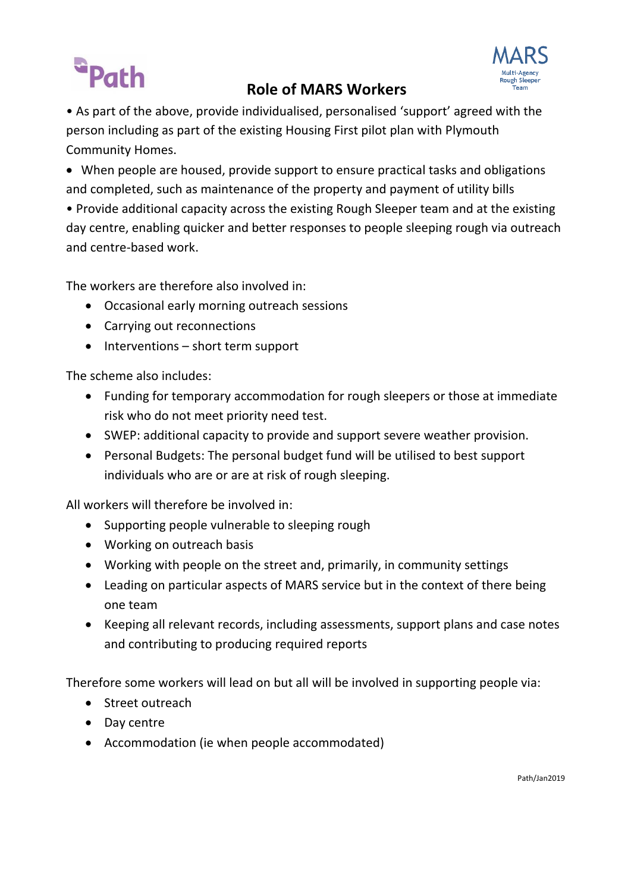# Path

## **Role of MARS Workers**



• As part of the above, provide individualised, personalised 'support' agreed with the person including as part of the existing Housing First pilot plan with Plymouth Community Homes.

 When people are housed, provide support to ensure practical tasks and obligations and completed, such as maintenance of the property and payment of utility bills

• Provide additional capacity across the existing Rough Sleeper team and at the existing day centre, enabling quicker and better responses to people sleeping rough via outreach and centre-based work.

The workers are therefore also involved in:

- Occasional early morning outreach sessions
- Carrying out reconnections
- $\bullet$  Interventions short term support

The scheme also includes:

- Funding for temporary accommodation for rough sleepers or those at immediate risk who do not meet priority need test.
- SWEP: additional capacity to provide and support severe weather provision.
- Personal Budgets: The personal budget fund will be utilised to best support individuals who are or are at risk of rough sleeping.

All workers will therefore be involved in:

- Supporting people vulnerable to sleeping rough
- Working on outreach basis
- Working with people on the street and, primarily, in community settings
- Leading on particular aspects of MARS service but in the context of there being one team
- Keeping all relevant records, including assessments, support plans and case notes and contributing to producing required reports

Therefore some workers will lead on but all will be involved in supporting people via:

- Street outreach
- Day centre
- Accommodation (ie when people accommodated)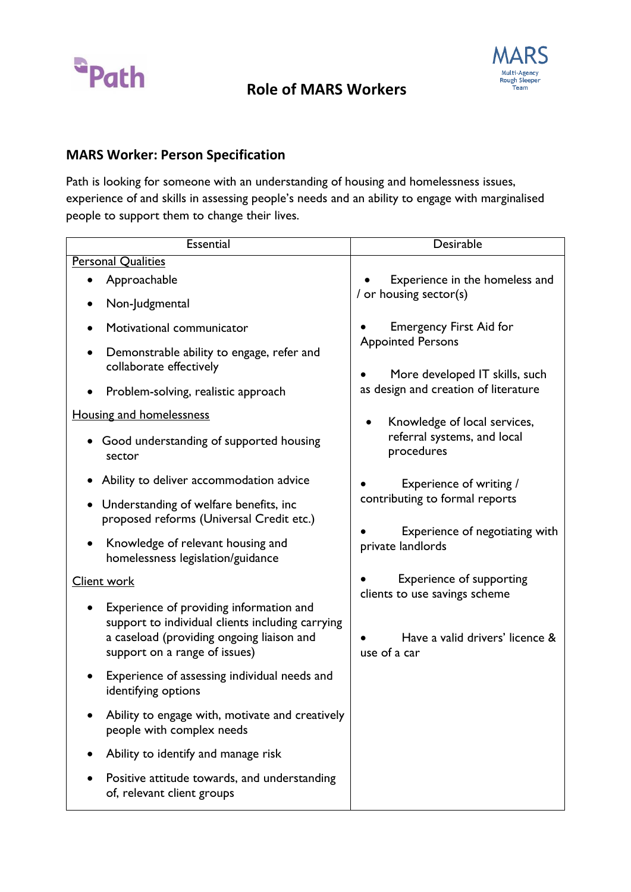

## **Role of MARS Workers**



### **MARS Worker: Person Specification**

Path is looking for someone with an understanding of housing and homelessness issues, experience of and skills in assessing people's needs and an ability to engage with marginalised people to support them to change their lives.

| Essential                                                                                                                                                                 | Desirable                                                                                                                            |  |
|---------------------------------------------------------------------------------------------------------------------------------------------------------------------------|--------------------------------------------------------------------------------------------------------------------------------------|--|
| <b>Personal Qualities</b>                                                                                                                                                 |                                                                                                                                      |  |
| Approachable                                                                                                                                                              | Experience in the homeless and                                                                                                       |  |
| Non-Judgmental                                                                                                                                                            | / or housing sector(s)                                                                                                               |  |
| Motivational communicator                                                                                                                                                 | <b>Emergency First Aid for</b><br><b>Appointed Persons</b><br>More developed IT skills, such<br>as design and creation of literature |  |
| Demonstrable ability to engage, refer and<br>collaborate effectively                                                                                                      |                                                                                                                                      |  |
| Problem-solving, realistic approach                                                                                                                                       |                                                                                                                                      |  |
| <b>Housing and homelessness</b>                                                                                                                                           | Knowledge of local services,                                                                                                         |  |
| • Good understanding of supported housing<br>sector                                                                                                                       | referral systems, and local<br>procedures                                                                                            |  |
| Ability to deliver accommodation advice                                                                                                                                   | Experience of writing /<br>contributing to formal reports<br>Experience of negotiating with<br>private landlords                     |  |
| Understanding of welfare benefits, inc<br>$\bullet$<br>proposed reforms (Universal Credit etc.)                                                                           |                                                                                                                                      |  |
| Knowledge of relevant housing and<br>homelessness legislation/guidance                                                                                                    |                                                                                                                                      |  |
| <b>Client work</b>                                                                                                                                                        | <b>Experience of supporting</b><br>clients to use savings scheme<br>Have a valid drivers' licence &<br>use of a car                  |  |
| Experience of providing information and<br>support to individual clients including carrying<br>a caseload (providing ongoing liaison and<br>support on a range of issues) |                                                                                                                                      |  |
| Experience of assessing individual needs and<br>identifying options                                                                                                       |                                                                                                                                      |  |
| Ability to engage with, motivate and creatively<br>people with complex needs                                                                                              |                                                                                                                                      |  |
| Ability to identify and manage risk                                                                                                                                       |                                                                                                                                      |  |
| Positive attitude towards, and understanding<br>of, relevant client groups                                                                                                |                                                                                                                                      |  |